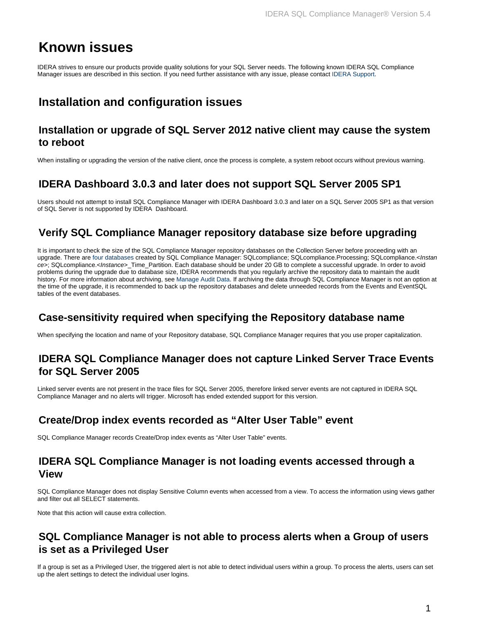# **Known issues**

IDERA strives to ensure our products provide quality solutions for your SQL Server needs. The following known IDERA SQL Compliance Manager issues are described in this section. If you need further assistance with any issue, please contact IDERA Support.

## **Installation and configuration issues**

#### **Installation or upgrade of SQL Server 2012 native client may cause the system to reboot**

When installing or upgrading the version of the native client, once the process is complete, a system reboot occurs without previous warning.

#### **IDERA Dashboard 3.0.3 and later does not support SQL Server 2005 SP1**

Users should not attempt to install SQL Compliance Manager with IDERA Dashboard 3.0.3 and later on a SQL Server 2005 SP1 as that version of SQL Server is not supported by IDERA Dashboard.

## **Verify SQL Compliance Manager repository database size before upgrading**

It is important to check the size of the SQL Compliance Manager repository databases on the Collection Server before proceeding with an upgrade. There are [four databases](https://wiki.idera.com/display/SQLCM55/Product+components+and+architecture) created by SQL Compliance Manager: SQLcompliance; SQLcompliance.Processing; SQLcompliance.<Instan ce>; SQLcompliance.<Instance>\_Time\_Partition. Each database should be under 20 GB to complete a successful upgrade. In order to avoid problems during the upgrade due to database size, IDERA recommends that you regularly archive the repository data to maintain the audit history. For more information about archiving, see [Manage Audit Data](https://wiki.idera.com/display/SQLCM55/Manage+Audit+Data). If archiving the data through SQL Compliance Manager is not an option at the time of the upgrade, it is recommended to back up the repository databases and delete unneeded records from the Events and EventSQL tables of the event databases.

## **Case-sensitivity required when specifying the Repository database name**

When specifying the location and name of your Repository database, SQL Compliance Manager requires that you use proper capitalization.

#### **IDERA SQL Compliance Manager does not capture Linked Server Trace Events for SQL Server 2005**

Linked server events are not present in the trace files for SQL Server 2005, therefore linked server events are not captured in IDERA SQL Compliance Manager and no alerts will trigger. Microsoft has ended extended support for this version.

## **Create/Drop index events recorded as "Alter User Table" event**

SQL Compliance Manager records Create/Drop index events as "Alter User Table" events.

#### **IDERA SQL Compliance Manager is not loading events accessed through a View**

SQL Compliance Manager does not display Sensitive Column events when accessed from a view. To access the information using views gather and filter out all SELECT statements.

Note that this action will cause extra collection.

#### **SQL Compliance Manager is not able to process alerts when a Group of users is set as a Privileged User**

If a group is set as a Privileged User, the triggered alert is not able to detect individual users within a group. To process the alerts, users can set up the alert settings to detect the individual user logins.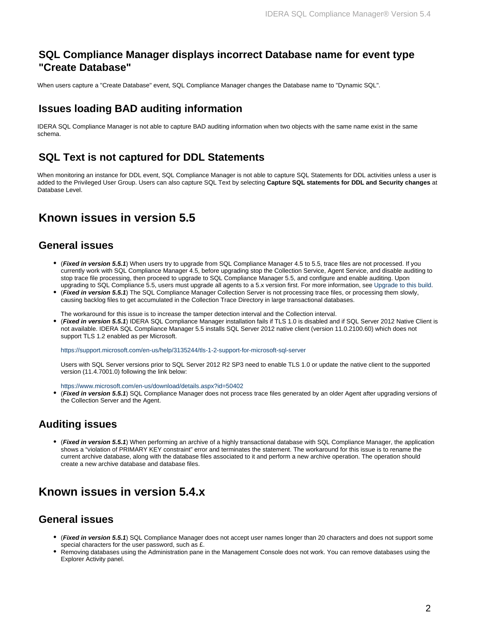#### **SQL Compliance Manager displays incorrect Database name for event type "Create Database"**

When users capture a "Create Database" event, SQL Compliance Manager changes the Database name to "Dynamic SQL".

#### **Issues loading BAD auditing information**

IDERA SQL Compliance Manager is not able to capture BAD auditing information when two objects with the same name exist in the same schema.

#### **SQL Text is not captured for DDL Statements**

When monitoring an instance for DDL event, SQL Compliance Manager is not able to capture SQL Statements for DDL activities unless a user is added to the Privileged User Group. Users can also capture SQL Text by selecting **Capture SQL statements for DDL and Security changes** at Database Level.

## **Known issues in version 5.5**

#### **General issues**

- (**Fixed in version 5.5.1**) When users try to upgrade from SQL Compliance Manager 4.5 to 5.5, trace files are not processed. If you currently work with SQL Compliance Manager 4.5, before upgrading stop the Collection Service, Agent Service, and disable auditing to stop trace file processing, then proceed to upgrade to SQL Compliance Manager 5.5, and configure and enable auditing. Upon upgrading to SQL Compliance 5.5, users must upgrade all agents to a 5.x version first. For more information, see [Upgrade to this build.](https://wiki.idera.com/pages/viewpage.action?pageId=11649024067)
- (**Fixed in version 5.5.1**) The SQL Compliance Manager Collection Server is not processing trace files, or processing them slowly, causing backlog files to get accumulated in the Collection Trace Directory in large transactional databases.

The workaround for this issue is to increase the tamper detection interval and the Collection interval.

(**Fixed in version 5.5.1**) IDERA SQL Compliance Manager installation fails if TLS 1.0 is disabled and if SQL Server 2012 Native Client is not available. IDERA SQL Compliance Manager 5.5 installs SQL Server 2012 native client (version 11.0.2100.60) which does not support TLS 1.2 enabled as per Microsoft.

https://support.microsoft.com/en-us/help/3135244/tls-1-2-support-for-microsoft-sql-server

Users with SQL Server versions prior to SQL Server 2012 R2 SP3 need to enable TLS 1.0 or update the native client to the supported version (11.4.7001.0) following the link below:

https://www.microsoft.com/en-us/download/details.aspx?id=50402

(**Fixed in version 5.5.1**) SQL Compliance Manager does not process trace files generated by an older Agent after upgrading versions of the Collection Server and the Agent.

#### **Auditing issues**

(**Fixed in version 5.5.1**) When performing an archive of a highly transactional database with SQL Compliance Manager, the application shows a "violation of PRIMARY KEY constraint" error and terminates the statement. The workaround for this issue is to rename the current archive database, along with the database files associated to it and perform a new archive operation. The operation should create a new archive database and database files.

## **Known issues in version 5.4.x**

#### **General issues**

- (**Fixed in version 5.5.1**) SQL Compliance Manager does not accept user names longer than 20 characters and does not support some special characters for the user password, such as £.
- Removing databases using the Administration pane in the Management Console does not work. You can remove databases using the Explorer Activity panel.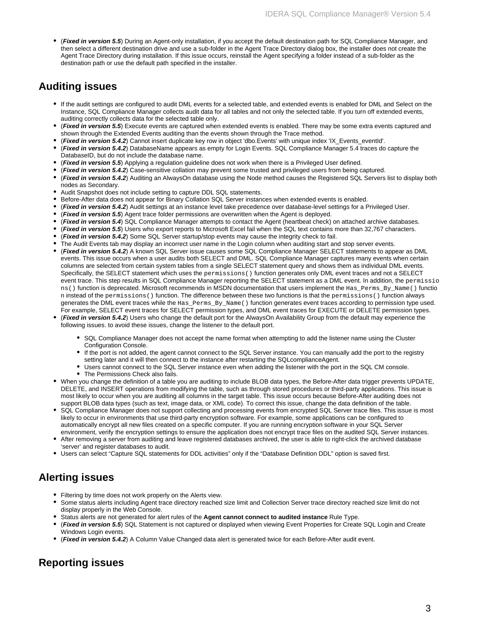(**Fixed in version 5.5**) During an Agent-only installation, if you accept the default destination path for SQL Compliance Manager, and then select a different destination drive and use a sub-folder in the Agent Trace Directory dialog box, the installer does not create the Agent Trace Directory during installation. If this issue occurs, reinstall the Agent specifying a folder instead of a sub-folder as the destination path or use the default path specified in the installer.

### **Auditing issues**

- If the audit settings are configured to audit DML events for a selected table, and extended events is enabled for DML and Select on the Instance, SQL Compliance Manager collects audit data for all tables and not only the selected table. If you turn off extended events, auditing correctly collects data for the selected table only.
- (**Fixed in version 5.5**) Execute events are captured when extended events is enabled. There may be some extra events captured and shown through the Extended Events auditing than the events shown through the Trace method.
- (**Fixed in version 5.4.2**) Cannot insert duplicate key row in object 'dbo.Events' with unique index 'IX\_Events\_eventId'.
- (**Fixed in version 5.4.2**) DatabaseName appears as empty for Login Events. SQL Compliance Manager 5.4 traces do capture the DatabaseID, but do not include the database name.
- (**Fixed in version 5.5**) Applying a regulation guideline does not work when there is a Privileged User defined.
- (**Fixed in version 5.4.2**) Case-sensitive collation may prevent some trusted and privileged users from being captured.
- (**Fixed in version 5.4.2**) Auditing an AlwaysOn database using the Node method causes the Registered SQL Servers list to display both nodes as Secondary.
- Audit Snapshot does not include setting to capture DDL SQL statements.
- Before-After data does not appear for Binary Collation SQL Server instances when extended events is enabled.
- (**Fixed in version 5.4.2**) Audit settings at an instance level take precedence over database-level settings for a Privileged User.
- (**Fixed in version 5.5**) Agent trace folder permissions are overwritten when the Agent is deployed.
- (**Fixed in version 5.4**) SQL Compliance Manager attempts to contact the Agent (heartbeat check) on attached archive databases.
- (**Fixed in version 5.5**) Users who export reports to Microsoft Excel fail when the SQL text contains more than 32,767 characters.
- (**Fixed in version 5.4.2**) Some SQL Server startup/stop events may cause the integrity check to fail.
- The Audit Events tab may display an incorrect user name in the Login column when auditing start and stop server events.
- (**Fixed in version 5.4.2**) A known SQL Server issue causes some SQL Compliance Manager SELECT statements to appear as DML events. This issue occurs when a user audits both SELECT and DML. SQL Compliance Manager captures many events when certain columns are selected from certain system tables from a single SELECT statement query and shows them as individual DML events. Specifically, the SELECT statement which uses the permissions() function generates only DML event traces and not a SELECT event trace. This step results in SQL Compliance Manager reporting the SELECT statement as a DML event. In addition, the permissio ns() function is deprecated. Microsoft recommends in MSDN documentation that users implement the Has\_Perms\_By\_Name() functio n instead of the permissions() function. The difference between these two functions is that the permissions() function always generates the DML event traces while the Has\_Perms\_By\_Name() function generates event traces according to permission type used. For example, SELECT event traces for SELECT permission types, and DML event traces for EXECUTE or DELETE permission types.
- (**Fixed in version 5.4.2**) Users who change the default port for the AlwaysOn Availability Group from the default may experience the following issues. to avoid these issues, change the listener to the default port.
	- SQL Compliance Manager does not accept the name format when attempting to add the listener name using the Cluster Configuration Console.
	- If the port is not added, the agent cannot connect to the SQL Server instance. You can manually add the port to the registry setting later and it will then connect to the instance after restarting the SQLcomplianceAgent.
	- Users cannot connect to the SQL Server instance even when adding the listener with the port in the SQL CM console. The Permissions Check also fails.
- When you change the definition of a table you are auditing to include BLOB data types, the Before-After data trigger prevents UPDATE, DELETE, and INSERT operations from modifying the table, such as through stored procedures or third-party applications. This issue is most likely to occur when you are auditing all columns in the target table. This issue occurs because Before-After auditing does not support BLOB data types (such as text, image data, or XML code). To correct this issue, change the data definition of the table.
- SQL Compliance Manager does not support collecting and processing events from encrypted SQL Server trace files. This issue is most likely to occur in environments that use third-party encryption software. For example, some applications can be configured to automatically encrypt all new files created on a specific computer. If you are running encryption software in your SQL Server environment, verify the encryption settings to ensure the application does not encrypt trace files on the audited SQL Server instances.
- After removing a server from auditing and leave registered databases archived, the user is able to right-click the archived database 'server' and register databases to audit.
- Users can select "Capture SQL statements for DDL activities" only if the "Database Definition DDL" option is saved first.

## **Alerting issues**

- Filtering by time does not work properly on the Alerts view.
- Some status alerts including Agent trace directory reached size limit and Collection Server trace directory reached size limit do not display properly in the Web Console.
- Status alerts are not generated for alert rules of the **Agent cannot connect to audited instance** Rule Type.
- (**Fixed in version 5.5**) SQL Statement is not captured or displayed when viewing Event Properties for Create SQL Login and Create Windows Login events.
- (**Fixed in version 5.4.2**) A Column Value Changed data alert is generated twice for each Before-After audit event.

## **Reporting issues**